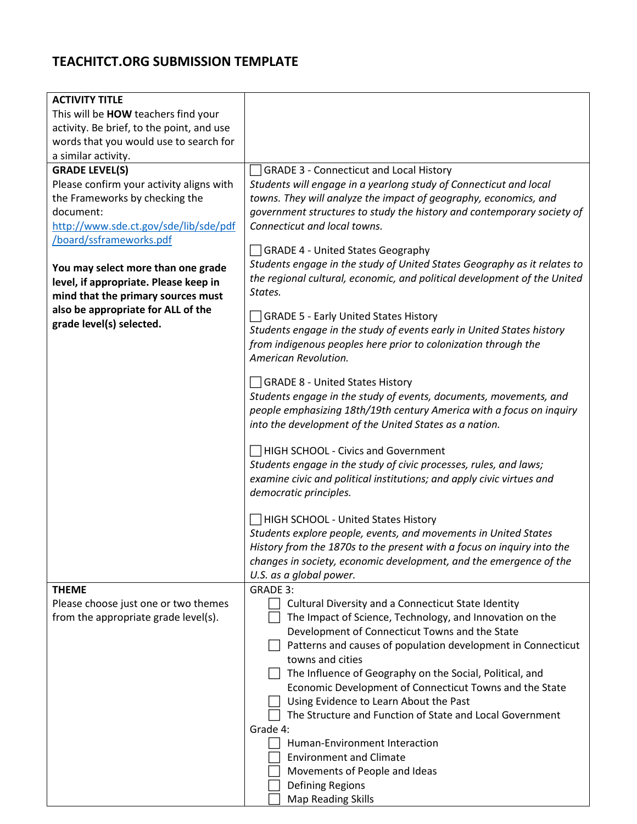## **TEACHITCT.ORG SUBMISSION TEMPLATE**

| <b>ACTIVITY TITLE</b>                                                                                                                                                               |                                                                                                                                                                                                                                                                                                                                                                                                                                                                                                |
|-------------------------------------------------------------------------------------------------------------------------------------------------------------------------------------|------------------------------------------------------------------------------------------------------------------------------------------------------------------------------------------------------------------------------------------------------------------------------------------------------------------------------------------------------------------------------------------------------------------------------------------------------------------------------------------------|
| This will be HOW teachers find your                                                                                                                                                 |                                                                                                                                                                                                                                                                                                                                                                                                                                                                                                |
| activity. Be brief, to the point, and use                                                                                                                                           |                                                                                                                                                                                                                                                                                                                                                                                                                                                                                                |
| words that you would use to search for                                                                                                                                              |                                                                                                                                                                                                                                                                                                                                                                                                                                                                                                |
| a similar activity.                                                                                                                                                                 |                                                                                                                                                                                                                                                                                                                                                                                                                                                                                                |
| <b>GRADE LEVEL(S)</b>                                                                                                                                                               | <b>GRADE 3 - Connecticut and Local History</b>                                                                                                                                                                                                                                                                                                                                                                                                                                                 |
| Please confirm your activity aligns with<br>the Frameworks by checking the<br>document:<br>http://www.sde.ct.gov/sde/lib/sde/pdf<br>/board/ssframeworks.pdf                         | Students will engage in a yearlong study of Connecticut and local<br>towns. They will analyze the impact of geography, economics, and<br>government structures to study the history and contemporary society of<br>Connecticut and local towns.                                                                                                                                                                                                                                                |
| You may select more than one grade<br>level, if appropriate. Please keep in<br>mind that the primary sources must<br>also be appropriate for ALL of the<br>grade level(s) selected. | GRADE 4 - United States Geography<br>Students engage in the study of United States Geography as it relates to<br>the regional cultural, economic, and political development of the United<br>States.                                                                                                                                                                                                                                                                                           |
|                                                                                                                                                                                     | GRADE 5 - Early United States History<br>Students engage in the study of events early in United States history<br>from indigenous peoples here prior to colonization through the<br>American Revolution.                                                                                                                                                                                                                                                                                       |
|                                                                                                                                                                                     | GRADE 8 - United States History                                                                                                                                                                                                                                                                                                                                                                                                                                                                |
|                                                                                                                                                                                     | Students engage in the study of events, documents, movements, and<br>people emphasizing 18th/19th century America with a focus on inquiry<br>into the development of the United States as a nation.                                                                                                                                                                                                                                                                                            |
|                                                                                                                                                                                     | <b>HIGH SCHOOL - Civics and Government</b>                                                                                                                                                                                                                                                                                                                                                                                                                                                     |
|                                                                                                                                                                                     | Students engage in the study of civic processes, rules, and laws;<br>examine civic and political institutions; and apply civic virtues and<br>democratic principles.                                                                                                                                                                                                                                                                                                                           |
|                                                                                                                                                                                     |                                                                                                                                                                                                                                                                                                                                                                                                                                                                                                |
|                                                                                                                                                                                     | HIGH SCHOOL - United States History<br>Students explore people, events, and movements in United States                                                                                                                                                                                                                                                                                                                                                                                         |
|                                                                                                                                                                                     | History from the 1870s to the present with a focus on inquiry into the<br>changes in society, economic development, and the emergence of the                                                                                                                                                                                                                                                                                                                                                   |
| <b>THEME</b>                                                                                                                                                                        | U.S. as a global power.<br><b>GRADE 3:</b>                                                                                                                                                                                                                                                                                                                                                                                                                                                     |
| Please choose just one or two themes<br>from the appropriate grade level(s).                                                                                                        | Cultural Diversity and a Connecticut State Identity<br>The Impact of Science, Technology, and Innovation on the<br>Development of Connecticut Towns and the State<br>Patterns and causes of population development in Connecticut<br>towns and cities<br>The Influence of Geography on the Social, Political, and<br>Economic Development of Connecticut Towns and the State<br>Using Evidence to Learn About the Past<br>The Structure and Function of State and Local Government<br>Grade 4: |
|                                                                                                                                                                                     | Human-Environment Interaction                                                                                                                                                                                                                                                                                                                                                                                                                                                                  |
|                                                                                                                                                                                     | <b>Environment and Climate</b>                                                                                                                                                                                                                                                                                                                                                                                                                                                                 |
|                                                                                                                                                                                     | Movements of People and Ideas                                                                                                                                                                                                                                                                                                                                                                                                                                                                  |
|                                                                                                                                                                                     | <b>Defining Regions</b>                                                                                                                                                                                                                                                                                                                                                                                                                                                                        |
|                                                                                                                                                                                     | Map Reading Skills                                                                                                                                                                                                                                                                                                                                                                                                                                                                             |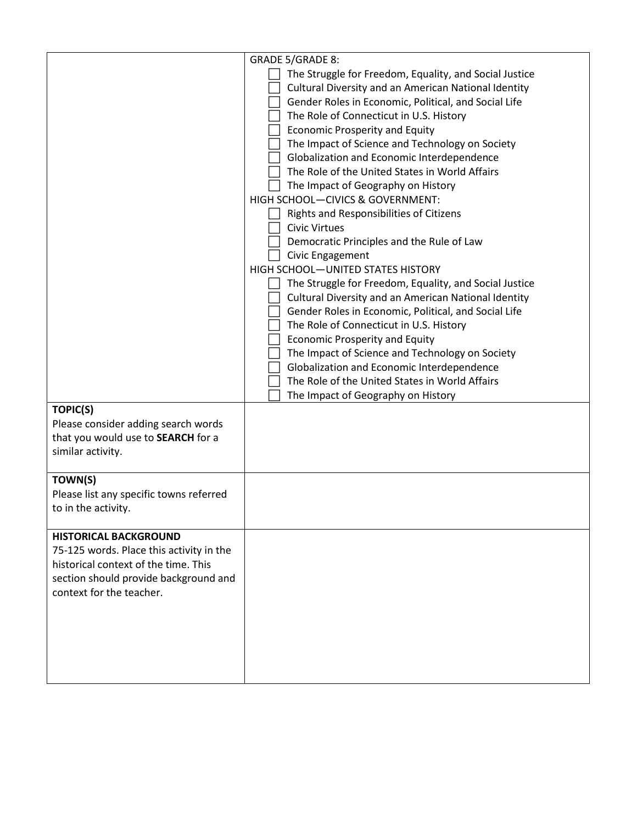| <b>TOPIC(S)</b><br>Please consider adding search words<br>that you would use to SEARCH for a                                                                                          | GRADE 5/GRADE 8:<br>The Struggle for Freedom, Equality, and Social Justice<br>Cultural Diversity and an American National Identity<br>Gender Roles in Economic, Political, and Social Life<br>The Role of Connecticut in U.S. History<br><b>Economic Prosperity and Equity</b><br>The Impact of Science and Technology on Society<br>Globalization and Economic Interdependence<br>The Role of the United States in World Affairs<br>The Impact of Geography on History<br>HIGH SCHOOL-CIVICS & GOVERNMENT:<br>Rights and Responsibilities of Citizens<br><b>Civic Virtues</b><br>Democratic Principles and the Rule of Law<br>Civic Engagement<br>HIGH SCHOOL-UNITED STATES HISTORY<br>The Struggle for Freedom, Equality, and Social Justice<br>Cultural Diversity and an American National Identity<br>Gender Roles in Economic, Political, and Social Life<br>The Role of Connecticut in U.S. History<br><b>Economic Prosperity and Equity</b><br>The Impact of Science and Technology on Society<br>Globalization and Economic Interdependence<br>The Role of the United States in World Affairs<br>The Impact of Geography on History |
|---------------------------------------------------------------------------------------------------------------------------------------------------------------------------------------|---------------------------------------------------------------------------------------------------------------------------------------------------------------------------------------------------------------------------------------------------------------------------------------------------------------------------------------------------------------------------------------------------------------------------------------------------------------------------------------------------------------------------------------------------------------------------------------------------------------------------------------------------------------------------------------------------------------------------------------------------------------------------------------------------------------------------------------------------------------------------------------------------------------------------------------------------------------------------------------------------------------------------------------------------------------------------------------------------------------------------------------------|
| similar activity.                                                                                                                                                                     |                                                                                                                                                                                                                                                                                                                                                                                                                                                                                                                                                                                                                                                                                                                                                                                                                                                                                                                                                                                                                                                                                                                                             |
| TOWN(S)<br>Please list any specific towns referred<br>to in the activity.                                                                                                             |                                                                                                                                                                                                                                                                                                                                                                                                                                                                                                                                                                                                                                                                                                                                                                                                                                                                                                                                                                                                                                                                                                                                             |
| <b>HISTORICAL BACKGROUND</b><br>75-125 words. Place this activity in the<br>historical context of the time. This<br>section should provide background and<br>context for the teacher. |                                                                                                                                                                                                                                                                                                                                                                                                                                                                                                                                                                                                                                                                                                                                                                                                                                                                                                                                                                                                                                                                                                                                             |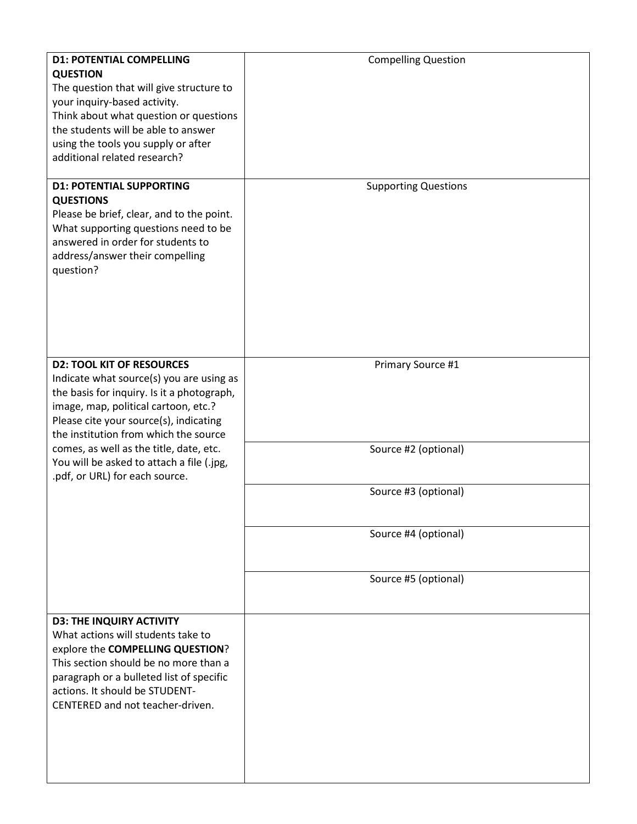| <b>D1: POTENTIAL COMPELLING</b>                                                      | <b>Compelling Question</b>  |
|--------------------------------------------------------------------------------------|-----------------------------|
| <b>QUESTION</b>                                                                      |                             |
| The question that will give structure to                                             |                             |
| your inquiry-based activity.                                                         |                             |
| Think about what question or questions                                               |                             |
| the students will be able to answer                                                  |                             |
| using the tools you supply or after                                                  |                             |
| additional related research?                                                         |                             |
| <b>D1: POTENTIAL SUPPORTING</b>                                                      | <b>Supporting Questions</b> |
| <b>QUESTIONS</b>                                                                     |                             |
| Please be brief, clear, and to the point.                                            |                             |
| What supporting questions need to be                                                 |                             |
| answered in order for students to                                                    |                             |
| address/answer their compelling                                                      |                             |
| question?                                                                            |                             |
|                                                                                      |                             |
|                                                                                      |                             |
|                                                                                      |                             |
|                                                                                      |                             |
|                                                                                      |                             |
| <b>D2: TOOL KIT OF RESOURCES</b>                                                     | Primary Source #1           |
| Indicate what source(s) you are using as                                             |                             |
| the basis for inquiry. Is it a photograph,                                           |                             |
| image, map, political cartoon, etc.?                                                 |                             |
| Please cite your source(s), indicating                                               |                             |
| the institution from which the source                                                |                             |
| comes, as well as the title, date, etc.<br>You will be asked to attach a file (.jpg, | Source #2 (optional)        |
| .pdf, or URL) for each source.                                                       |                             |
|                                                                                      | Source #3 (optional)        |
|                                                                                      |                             |
|                                                                                      |                             |
|                                                                                      | Source #4 (optional)        |
|                                                                                      |                             |
|                                                                                      | Source #5 (optional)        |
|                                                                                      |                             |
|                                                                                      |                             |
| <b>D3: THE INQUIRY ACTIVITY</b>                                                      |                             |
| What actions will students take to                                                   |                             |
| explore the COMPELLING QUESTION?                                                     |                             |
| This section should be no more than a                                                |                             |
| paragraph or a bulleted list of specific                                             |                             |
| actions. It should be STUDENT-                                                       |                             |
| CENTERED and not teacher-driven.                                                     |                             |
|                                                                                      |                             |
|                                                                                      |                             |
|                                                                                      |                             |
|                                                                                      |                             |